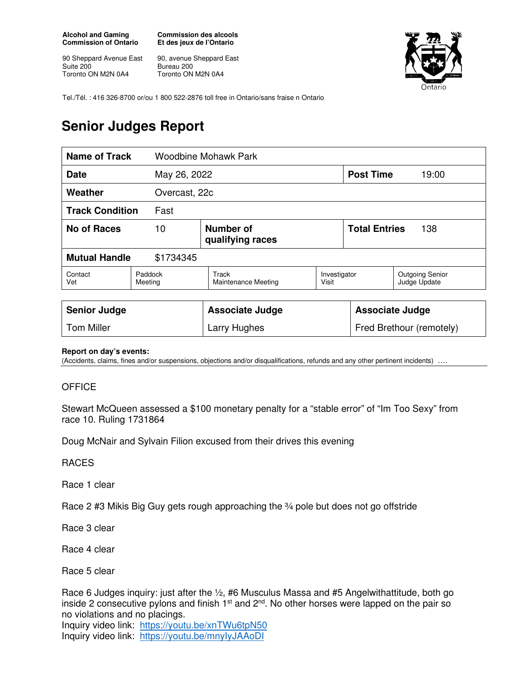**Alcohol and Gaming Commission of Ontario** 

90 Sheppard Avenue East Suite 200 Toronto ON M2N 0A4

**Commission des alcools Et des jeux de l'Ontario** 

90, avenue Sheppard East Bureau 200 Toronto ON M2N 0A4



Tel./Tél. : 416 326-8700 or/ou 1 800 522-2876 toll free in Ontario/sans fraise n Ontario

## **Senior Judges Report**

| <b>Name of Track</b>              |                    | <b>Woodbine Mohawk Park</b>         |                       |                      |                                        |  |
|-----------------------------------|--------------------|-------------------------------------|-----------------------|----------------------|----------------------------------------|--|
| <b>Date</b>                       |                    | May 26, 2022                        |                       |                      | <b>Post Time</b><br>19:00              |  |
| Weather                           |                    | Overcast, 22c                       |                       |                      |                                        |  |
| <b>Track Condition</b>            | Fast               |                                     |                       |                      |                                        |  |
| No of Races                       | 10                 | Number of<br>qualifying races       |                       | <b>Total Entries</b> | 138                                    |  |
| <b>Mutual Handle</b><br>\$1734345 |                    |                                     |                       |                      |                                        |  |
| Contact<br>Vet                    | Paddock<br>Meeting | Track<br><b>Maintenance Meeting</b> | Investigator<br>Visit |                      | <b>Outgoing Senior</b><br>Judge Update |  |
|                                   |                    |                                     |                       |                      |                                        |  |

| <b>Senior Judge</b> | <b>Associate Judge</b> | Associate Judge          |
|---------------------|------------------------|--------------------------|
| <b>Tom Miller</b>   | Larry Hughes           | Fred Brethour (remotely) |

## **Report on day's events:**

(Accidents, claims, fines and/or suspensions, objections and/or disqualifications, refunds and any other pertinent incidents) ….

## **OFFICE**

Stewart McQueen assessed a \$100 monetary penalty for a "stable error" of "Im Too Sexy" from race 10. Ruling 1731864

Doug McNair and Sylvain Filion excused from their drives this evening

RACES

Race 1 clear

Race 2 #3 Mikis Big Guy gets rough approaching the ¾ pole but does not go offstride

Race 3 clear

Race 4 clear

Race 5 clear

Race 6 Judges inquiry: just after the 1/2, #6 Musculus Massa and #5 Angelwithattitude, both go inside 2 consecutive pylons and finish  $1<sup>st</sup>$  and  $2<sup>nd</sup>$ . No other horses were lapped on the pair so no violations and no placings.

Inquiry video link: https://youtu.be/xnTWu6tpN50 Inquiry video link: https://youtu.be/mnyIyJAAoDI